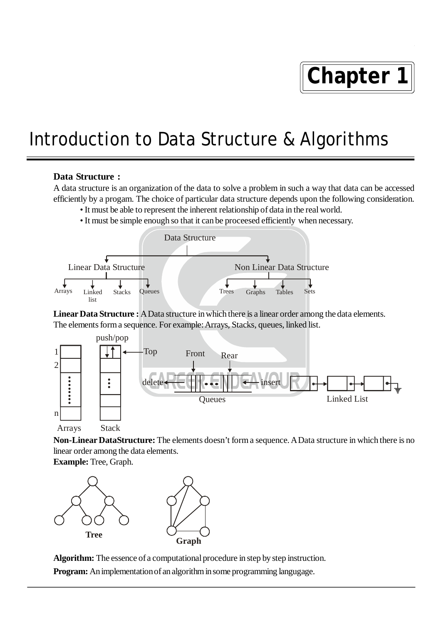# **Chapter 1**

## Introduction to Data Structure & Algorithms

#### **Data Structure :**

A data structure is an organization of the data to solve a problem in such a way that data can be accessed efficiently by a progam. The choice of particular data structure depends upon the following consideration.

- It must be able to represent the inherent relationship of data in the real world.
- It must be simple enough so that it can be proceesed efficiently when necessary.



Linear Data Structure : A Data structure in which there is a linear order among the data elements. The elements form a sequence. For example: Arrays, Stacks, queues, linked list.



**Non-Linear DataStructure:** The elements doesn't form a sequence. A Data structure in which there is no linear order among the data elements.

**Example:** Tree, Graph.



**Algorithm:** The essence of a computational procedure in step by step instruction. **Program:** An implementation of an algorithm in some programming langugage.